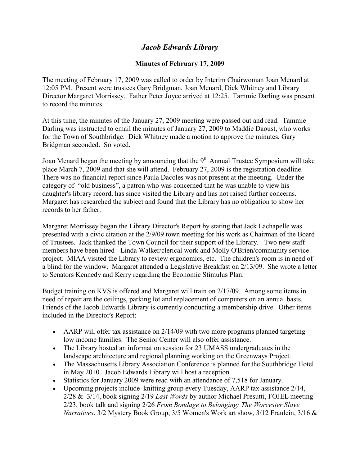## *Jacob Edwards Library*

## **Minutes of February 17, 2009**

The meeting of February 17, 2009 was called to order by Interim Chairwoman Joan Menard at 12:05 PM. Present were trustees Gary Bridgman, Joan Menard, Dick Whitney and Library Director Margaret Morrissey. Father Peter Joyce arrived at 12:25. Tammie Darling was present to record the minutes.

At this time, the minutes of the January 27, 2009 meeting were passed out and read. Tammie Darling was instructed to email the minutes of January 27, 2009 to Maddie Daoust, who works for the Town of Southbridge. Dick Whitney made a motion to approve the minutes, Gary Bridgman seconded. So voted.

Joan Menard began the meeting by announcing that the 9<sup>th</sup> Annual Trustee Symposium will take place March 7, 2009 and that she will attend. February 27, 2009 is the registration deadline. There was no financial report since Paula Dacoles was not present at the meeting. Under the category of "old business", a patron who was concerned that he was unable to view his daughter's library record, has since visited the Library and has not raised further concerns. Margaret has researched the subject and found that the Library has no obligation to show her records to her father.

Margaret Morrissey began the Library Director's Report by stating that Jack Lachapelle was presented with a civic citation at the 2/9/09 town meeting for his work as Chairman of the Board of Trustees. Jack thanked the Town Council for their support of the Library. Two new staff members have been hired - Linda Walker/clerical work and Molly O'Brien/community service project. MIAA visited the Library to review ergonomics, etc. The children's room is in need of a blind for the window. Margaret attended a Legislative Breakfast on 2/13/09. She wrote a letter to Senators Kennedy and Kerry regarding the Economic Stimulus Plan.

Budget training on KVS is offered and Margaret will train on 2/17/09. Among some items in need of repair are the ceilings, parking lot and replacement of computers on an annual basis. Friends of the Jacob Edwards Library is currently conducting a membership drive. Other items included in the Director's Report:

- AARP will offer tax assistance on 2/14/09 with two more programs planned targeting low income families. The Senior Center will also offer assistance.
- The Library hosted an information session for 23 UMASS undergraduates in the landscape architecture and regional planning working on the Greenways Project.
- The Massachusetts Library Association Conference is planned for the Southbridge Hotel in May 2010. Jacob Edwards Library will host a reception.
- Statistics for January 2009 were read with an attendance of 7,518 for January.
- Upcoming projects include knitting group every Tuesday, AARP tax assistance 2/14, 2/28 & 3/14, book signing 2/19 *Last Words* by author Michael Presutti, FOJEL meeting 2/23, book talk and signing 2/26 *From Bondage to Belonging: The Worcester Slave Narratives*, 3/2 Mystery Book Group, 3/5 Women's Work art show, 3/12 Fraulein, 3/16 &